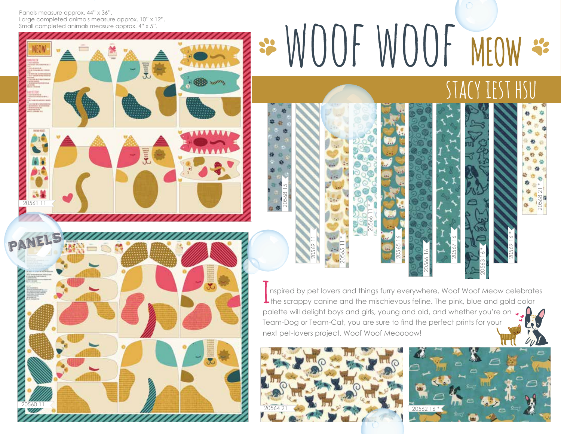Panels measure approx. 44" x 36". Large completed animals measure approx. 10" x 12". Small completed animals measure approx. 4" x 5".

## 20561 11



\*WOOF WOOF MEOW \*  $THS$ SIACY I

nspired by pet lovers and things furry everywhere, Woof Woof Meow celebrates **L** the scrappy canine and the mischievous feline. The pink, blue and gold color palette will delight boys and girls, young and old, and whether you're on  $\Box$ Team-Dog or Team-Cat, you are sure to find the perfect prints for your next pet-lovers project. Woof Woof Meoooow!

20565 16

20566 11 \*

20565 11 \*

20569 11

20568 15





20563 16 \*

20567 16

20566 16

20568 21 \*

20569 16 \*